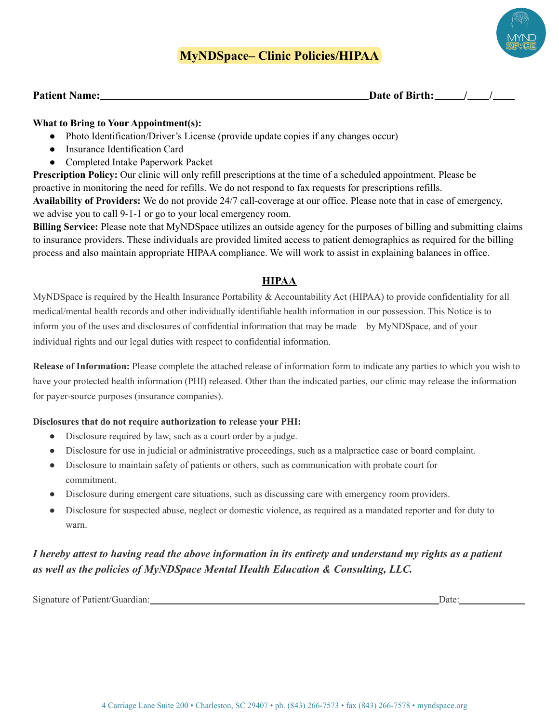# **MyNDSpace– Clinic Policies/HIPAA**



**Patient Name:**  $\qquad \qquad$  **Patient Name:**  $\qquad \qquad$  /  $\qquad \qquad$  /

### **What to Bring to Your Appointment(s):**

- Photo Identification/Driver's License (provide update copies if any changes occur)
- Insurance Identification Card
- Completed Intake Paperwork Packet

**Prescription Policy:** Our clinic will only refill prescriptions at the time of a scheduled appointment. Please be proactive in monitoring the need for refills. We do not respond to fax requests for prescriptions refills. **Availability of Providers:** We do not provide 24/7 call-coverage at our office. Please note that in case of emergency, we advise you to call 9-1-1 or go to your local emergency room.

**Billing Service:** Please note that MyNDSpace utilizes an outside agency for the purposes of billing and submitting claims to insurance providers. These individuals are provided limited access to patient demographics as required for the billing process and also maintain appropriate HIPAA compliance. We will work to assist in explaining balances in office.

# **HIPAA**

MyNDSpace is required by the Health Insurance Portability & Accountability Act (HIPAA) to provide confidentiality for all medical/mental health records and other individually identifiable health information in our possession. This Notice is to inform you of the uses and disclosures of confidential information that may be made by MyNDSpace, and of your individual rights and our legal duties with respect to confidential information.

**Release of Information:** Please complete the attached release of information form to indicate any parties to which you wish to have your protected health information (PHI) released. Other than the indicated parties, our clinic may release the information for payer-source purposes (insurance companies).

#### **Disclosures that do not require authorization to release your PHI:**

- Disclosure required by law, such as a court order by a judge.
- Disclosure for use in judicial or administrative proceedings, such as a malpractice case or board complaint.
- Disclosure to maintain safety of patients or others, such as communication with probate court for commitment.
- Disclosure during emergent care situations, such as discussing care with emergency room providers.
- Disclosure for suspected abuse, neglect or domestic violence, as required as a mandated reporter and for duty to warn.

# *I hereby attest to having read the above information in its entirety and understand my rights as a patient as well as the policies of MyNDSpace Mental Health Education & Consulting, LLC.*

| Signature of Patient/G<br>$\cdots$ |  |
|------------------------------------|--|
|                                    |  |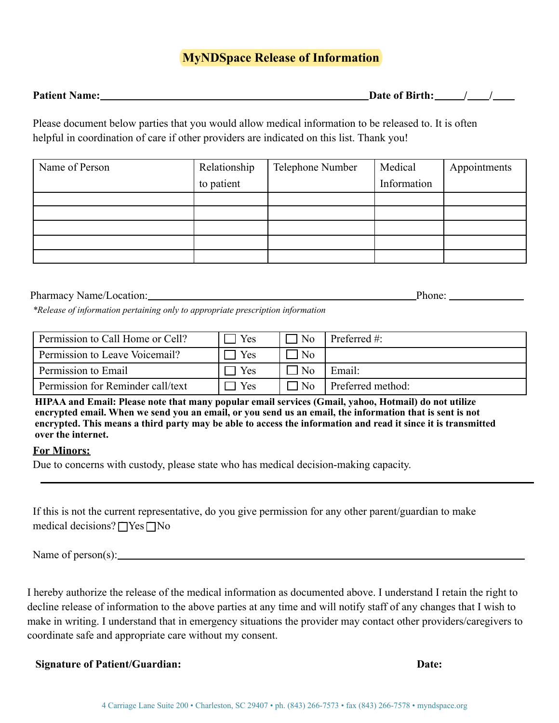# **MyNDSpace Release of Information**

| <b>Patient Name:</b> | Date of Birth: |  |  |
|----------------------|----------------|--|--|
|                      |                |  |  |

Please document below parties that you would allow medical information to be released to. It is often helpful in coordination of care if other providers are indicated on this list. Thank you!

| Name of Person | Relationship | Telephone Number | Medical     | Appointments |
|----------------|--------------|------------------|-------------|--------------|
|                | to patient   |                  | Information |              |
|                |              |                  |             |              |
|                |              |                  |             |              |
|                |              |                  |             |              |
|                |              |                  |             |              |
|                |              |                  |             |              |

## Pharmacy Name/Location: Pharmacy Name/Location: Phone: Phone: Phone: Phone: Phone: Phone: Phone: Phone: Phone: Phone: Phone: Phone: Phone: Phone: Phone: Phone: Phone: Phone: Phone: Phone: Phone: Phone: Phone: Phone: Phone:

*\*Release of information pertaining only to appropriate prescription information*

| Permission to Call Home or Cell?  | Yes | N <sub>0</sub> | Preferred $#$ :   |
|-----------------------------------|-----|----------------|-------------------|
| Permission to Leave Voicemail?    | Yes | N <sub>0</sub> |                   |
| Permission to Email               | Yes | ' No           | Email:            |
| Permission for Reminder call/text | Yes | I No           | Preferred method: |

**HIPAA and Email: Please note that many popular email services (Gmail, yahoo, Hotmail) do not utilize encrypted email. When we send you an email, or you send us an email, the information that is sent is not encrypted. This means a third party may be able to access the information and read it since it is transmitted over the internet.**

#### **For Minors:**

Due to concerns with custody, please state who has medical decision-making capacity.

| If this is not the current representative, do you give permission for any other parent/guardian to make |  |  |
|---------------------------------------------------------------------------------------------------------|--|--|
| medical decisions? $\Box$ Yes $\Box$ No                                                                 |  |  |

Name of person(s):

I hereby authorize the release of the medical information as documented above. I understand I retain the right to decline release of information to the above parties at any time and will notify staff of any changes that I wish to make in writing. I understand that in emergency situations the provider may contact other providers/caregivers to coordinate safe and appropriate care without my consent.

#### **Signature of Patient/Guardian: Date:**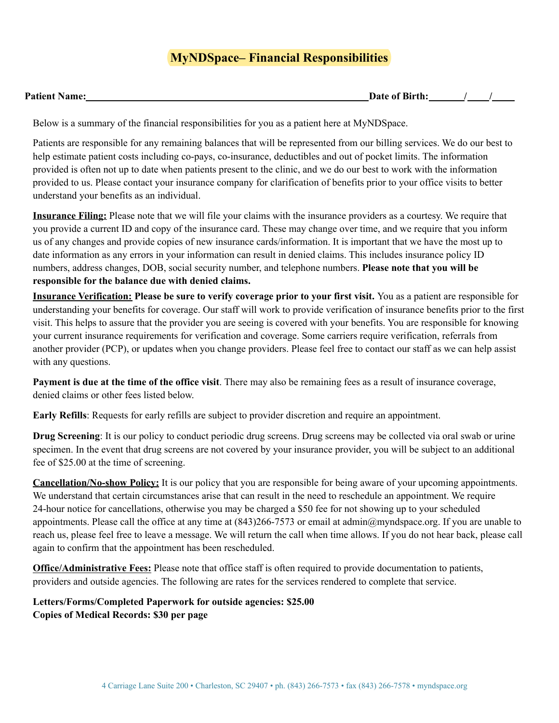# **MyNDSpace– Financial Responsibilities**

| <b>Patient Name:</b><br>Date of Birth: |  |
|----------------------------------------|--|
|----------------------------------------|--|

Below is a summary of the financial responsibilities for you as a patient here at MyNDSpace.

Patients are responsible for any remaining balances that will be represented from our billing services. We do our best to help estimate patient costs including co-pays, co-insurance, deductibles and out of pocket limits. The information provided is often not up to date when patients present to the clinic, and we do our best to work with the information provided to us. Please contact your insurance company for clarification of benefits prior to your office visits to better understand your benefits as an individual.

**Insurance Filing:** Please note that we will file your claims with the insurance providers as a courtesy. We require that you provide a current ID and copy of the insurance card. These may change over time, and we require that you inform us of any changes and provide copies of new insurance cards/information. It is important that we have the most up to date information as any errors in your information can result in denied claims. This includes insurance policy ID numbers, address changes, DOB, social security number, and telephone numbers. **Please note that you will be responsible for the balance due with denied claims.**

**Insurance Verification: Please be sure to verify coverage prior to your first visit.** You as a patient are responsible for understanding your benefits for coverage. Our staff will work to provide verification of insurance benefits prior to the first visit. This helps to assure that the provider you are seeing is covered with your benefits. You are responsible for knowing your current insurance requirements for verification and coverage. Some carriers require verification, referrals from another provider (PCP), or updates when you change providers. Please feel free to contact our staff as we can help assist with any questions.

**Payment is due at the time of the office visit**. There may also be remaining fees as a result of insurance coverage, denied claims or other fees listed below.

**Early Refills**: Requests for early refills are subject to provider discretion and require an appointment.

**Drug Screening**: It is our policy to conduct periodic drug screens. Drug screens may be collected via oral swab or urine specimen. In the event that drug screens are not covered by your insurance provider, you will be subject to an additional fee of \$25.00 at the time of screening.

**Cancellation/No-show Policy:** It is our policy that you are responsible for being aware of your upcoming appointments. We understand that certain circumstances arise that can result in the need to reschedule an appointment. We require 24-hour notice for cancellations, otherwise you may be charged a \$50 fee for not showing up to your scheduled appointments. Please call the office at any time at (843)266-7573 or email at admin@myndspace.org. If you are unable to reach us, please feel free to leave a message. We will return the call when time allows. If you do not hear back, please call again to confirm that the appointment has been rescheduled.

**Office/Administrative Fees:** Please note that office staff is often required to provide documentation to patients, providers and outside agencies. The following are rates for the services rendered to complete that service.

**Letters/Forms/Completed Paperwork for outside agencies: \$25.00 Copies of Medical Records: \$30 per page**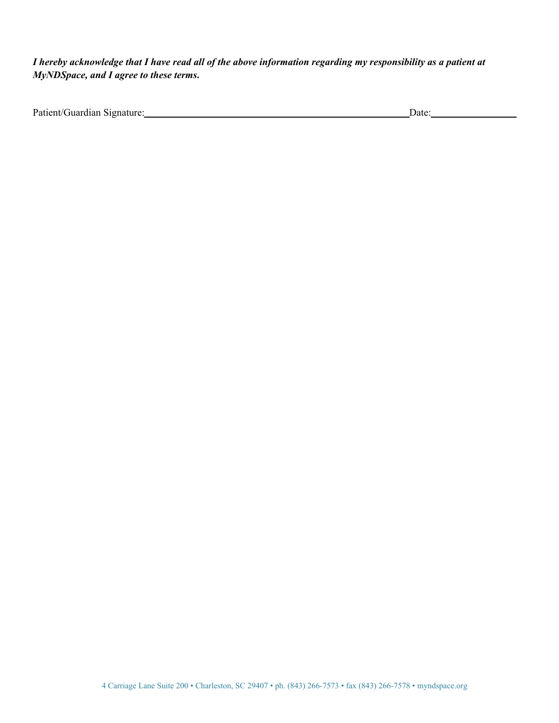*I hereby acknowledge that I have read all of the above information regarding my responsibility as a patient at MyNDSpace, and I agree to these terms.*

| Patient/Guardian Signature: | Jate |
|-----------------------------|------|
|                             |      |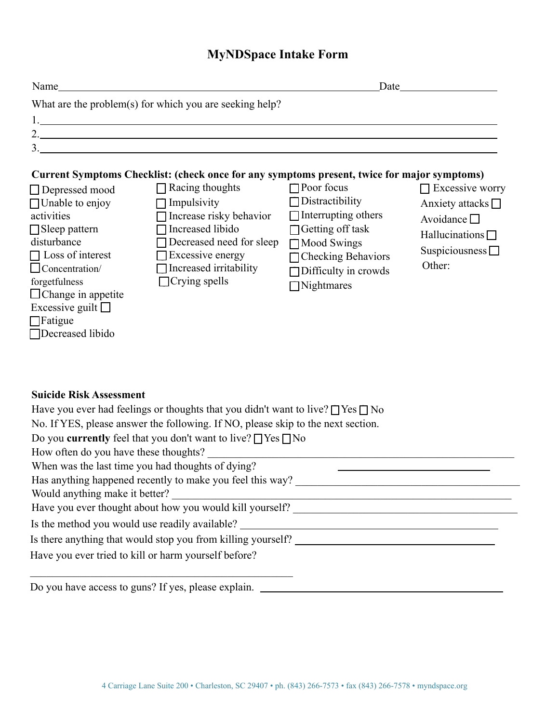# **MyNDSpace Intake Form**

| Name                                                                                                                                                                                                                                                                    |                                                                                                                                                                                                                                                                                                                                                                                                                                                                                                                                        |                                                                                                                                                                                            | Date                                                                                                                                   |  |
|-------------------------------------------------------------------------------------------------------------------------------------------------------------------------------------------------------------------------------------------------------------------------|----------------------------------------------------------------------------------------------------------------------------------------------------------------------------------------------------------------------------------------------------------------------------------------------------------------------------------------------------------------------------------------------------------------------------------------------------------------------------------------------------------------------------------------|--------------------------------------------------------------------------------------------------------------------------------------------------------------------------------------------|----------------------------------------------------------------------------------------------------------------------------------------|--|
| What are the problem(s) for which you are seeking help?                                                                                                                                                                                                                 |                                                                                                                                                                                                                                                                                                                                                                                                                                                                                                                                        |                                                                                                                                                                                            |                                                                                                                                        |  |
|                                                                                                                                                                                                                                                                         |                                                                                                                                                                                                                                                                                                                                                                                                                                                                                                                                        |                                                                                                                                                                                            |                                                                                                                                        |  |
|                                                                                                                                                                                                                                                                         | 2.                                                                                                                                                                                                                                                                                                                                                                                                                                                                                                                                     |                                                                                                                                                                                            |                                                                                                                                        |  |
|                                                                                                                                                                                                                                                                         | 3.                                                                                                                                                                                                                                                                                                                                                                                                                                                                                                                                     |                                                                                                                                                                                            |                                                                                                                                        |  |
| $\Box$ Depressed mood<br>$\Box$ Unable to enjoy<br>activities<br>$\Box$ Sleep pattern<br>disturbance<br>$\Box$ Loss of interest<br>$\Box$ Concentration/<br>forgetfulness<br>$\Box$ Change in appetite<br>Excessive guilt $\Box$<br>$\Box$ Fatigue<br>□Decreased libido | Current Symptoms Checklist: (check once for any symptoms present, twice for major symptoms)<br>$\Box$ Racing thoughts<br>$\Box$ Impulsivity<br>$\Box$ Increase risky behavior<br>Increased libido<br>Decreased need for sleep<br>$\Box$ Excessive energy<br>$\Box$ Increased irritability<br>$\Box$ Crying spells                                                                                                                                                                                                                      | $\Box$ Poor focus<br>$\Box$ Distractibility<br>$\Box$ Interrupting others<br>□ Getting off task<br>Mood Swings<br>□ Checking Behaviors<br>$\Box$ Difficulty in crowds<br>$\Box$ Nightmares | $\Box$ Excessive worry<br>Anxiety attacks $\Box$<br>Avoidance $\square$<br>Hallucinations $\Box$<br>Suspiciousness $\square$<br>Other: |  |
| <b>Suicide Risk Assessment</b><br>How often do you have these thoughts?<br>Would anything make it better?                                                                                                                                                               | Have you ever had feelings or thoughts that you didn't want to live? $\Box$ Yes $\Box$ No<br>No. If YES, please answer the following. If NO, please skip to the next section.<br>Do you <b>currently</b> feel that you don't want to live? $\Box$ Yes $\Box$ No<br>When was the last time you had thoughts of dying?<br>Has anything happened recently to make you feel this way?<br>Is the method you would use readily available? __________________________________<br>Is there anything that would stop you from killing yourself? | <u> 1989 - Johann John Stein, mars an deus Amerikaansk kommunister (</u>                                                                                                                   |                                                                                                                                        |  |
| Have you ever tried to kill or harm yourself before?                                                                                                                                                                                                                    |                                                                                                                                                                                                                                                                                                                                                                                                                                                                                                                                        |                                                                                                                                                                                            |                                                                                                                                        |  |

Do you have access to guns? If yes, please explain.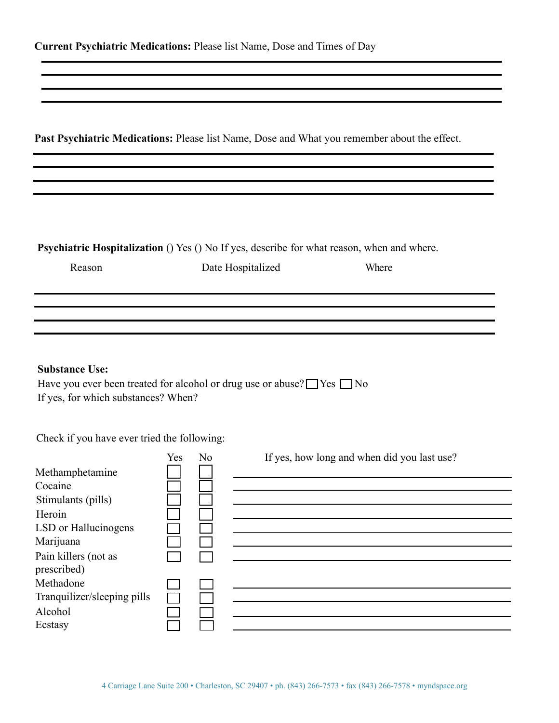**Past Psychiatric Medications:** Please list Name, Dose and What you remember about the effect.

**Psychiatric Hospitalization** () Yes () No If yes, describe for what reason, when and where.

Reason Date Hospitalized Where

#### **Substance Use:**

Have you ever been treated for alcohol or drug use or abuse?  $\Box$  Yes  $\Box$  No If yes, for which substances? When?

Check if you have ever tried the following:

| If yes, how long and when did you last use? |
|---------------------------------------------|
|                                             |
|                                             |
|                                             |
|                                             |
|                                             |
|                                             |
|                                             |
|                                             |
|                                             |
|                                             |
|                                             |
|                                             |
|                                             |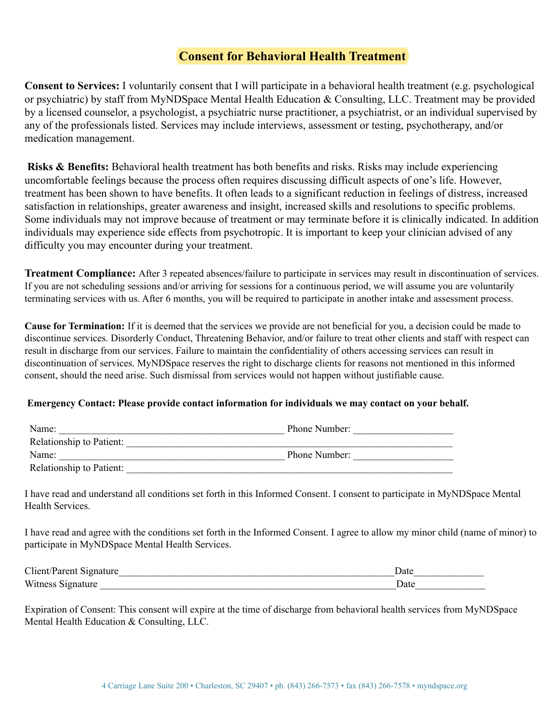# **Consent for Behavioral Health Treatment**

**Consent to Services:** I voluntarily consent that I will participate in a behavioral health treatment (e.g. psychological or psychiatric) by staff from MyNDSpace Mental Health Education & Consulting, LLC. Treatment may be provided by a licensed counselor, a psychologist, a psychiatric nurse practitioner, a psychiatrist, or an individual supervised by any of the professionals listed. Services may include interviews, assessment or testing, psychotherapy, and/or medication management.

**Risks & Benefits:** Behavioral health treatment has both benefits and risks. Risks may include experiencing uncomfortable feelings because the process often requires discussing difficult aspects of one's life. However, treatment has been shown to have benefits. It often leads to a significant reduction in feelings of distress, increased satisfaction in relationships, greater awareness and insight, increased skills and resolutions to specific problems. Some individuals may not improve because of treatment or may terminate before it is clinically indicated. In addition individuals may experience side effects from psychotropic. It is important to keep your clinician advised of any difficulty you may encounter during your treatment.

**Treatment Compliance:** After 3 repeated absences/failure to participate in services may result in discontinuation of services. If you are not scheduling sessions and/or arriving for sessions for a continuous period, we will assume you are voluntarily terminating services with us. After 6 months, you will be required to participate in another intake and assessment process.

**Cause for Termination:** If it is deemed that the services we provide are not beneficial for you, a decision could be made to discontinue services. Disorderly Conduct, Threatening Behavior, and/or failure to treat other clients and staff with respect can result in discharge from our services. Failure to maintain the confidentiality of others accessing services can result in discontinuation of services. MyNDSpace reserves the right to discharge clients for reasons not mentioned in this informed consent, should the need arise. Such dismissal from services would not happen without justifiable cause.

#### **Emergency Contact: Please provide contact information for individuals we may contact on your behalf.**

| Name:                    | Phone Number: |
|--------------------------|---------------|
| Relationship to Patient: |               |
| Name:                    | Phone Number: |
| Relationship to Patient: |               |

I have read and understand all conditions set forth in this Informed Consent. I consent to participate in MyNDSpace Mental Health Services.

I have read and agree with the conditions set forth in the Informed Consent. I agree to allow my minor child (name of minor) to participate in MyNDSpace Mental Health Services.

| Client/Parent Signature | Jate |
|-------------------------|------|
| Witness Signature       | Jate |

Expiration of Consent: This consent will expire at the time of discharge from behavioral health services from MyNDSpace Mental Health Education & Consulting, LLC.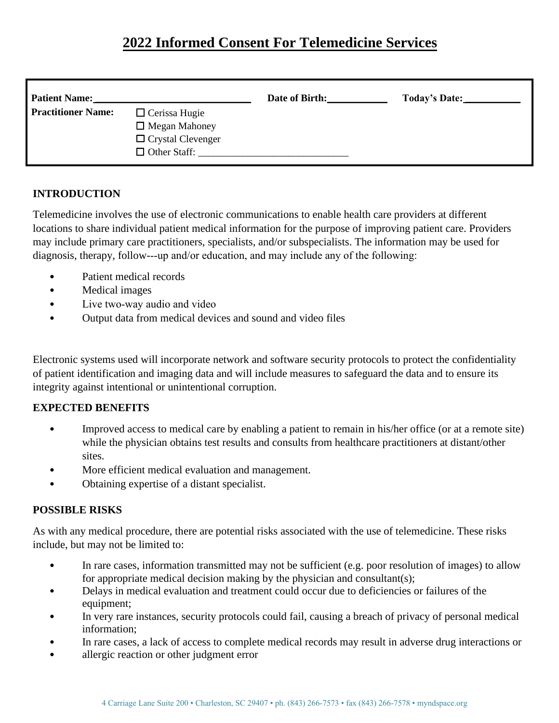# **2022 Informed Consent For Telemedicine Services**

| <b>Patient Name:</b>      |                                                                                                 | Date of Birth: | Today's Date: |
|---------------------------|-------------------------------------------------------------------------------------------------|----------------|---------------|
| <b>Practitioner Name:</b> | $\Box$ Cerissa Hugie<br>$\Box$ Megan Mahoney<br>$\Box$ Crystal Clevenger<br>$\Box$ Other Staff: |                |               |

## **INTRODUCTION**

Telemedicine involves the use of electronic communications to enable health care providers at different locations to share individual patient medical information for the purpose of improving patient care. Providers may include primary care practitioners, specialists, and/or subspecialists. The information may be used for diagnosis, therapy, follow---up and/or education, and may include any of the following:

- Patient medical records
- Medical images
- Live two-way audio and video
- Output data from medical devices and sound and video files

Electronic systems used will incorporate network and software security protocols to protect the confidentiality of patient identification and imaging data and will include measures to safeguard the data and to ensure its integrity against intentional or unintentional corruption.

#### **EXPECTED BENEFITS**

- Improved access to medical care by enabling a patient to remain in his/her office (or at a remote site) while the physician obtains test results and consults from healthcare practitioners at distant/other sites.
- More efficient medical evaluation and management.
- Obtaining expertise of a distant specialist.

#### **POSSIBLE RISKS**

As with any medical procedure, there are potential risks associated with the use of telemedicine. These risks include, but may not be limited to:

- In rare cases, information transmitted may not be sufficient (e.g. poor resolution of images) to allow for appropriate medical decision making by the physician and consultant(s);
- Delays in medical evaluation and treatment could occur due to deficiencies or failures of the equipment;
- In very rare instances, security protocols could fail, causing a breach of privacy of personal medical information;
- In rare cases, a lack of access to complete medical records may result in adverse drug interactions or
- allergic reaction or other judgment error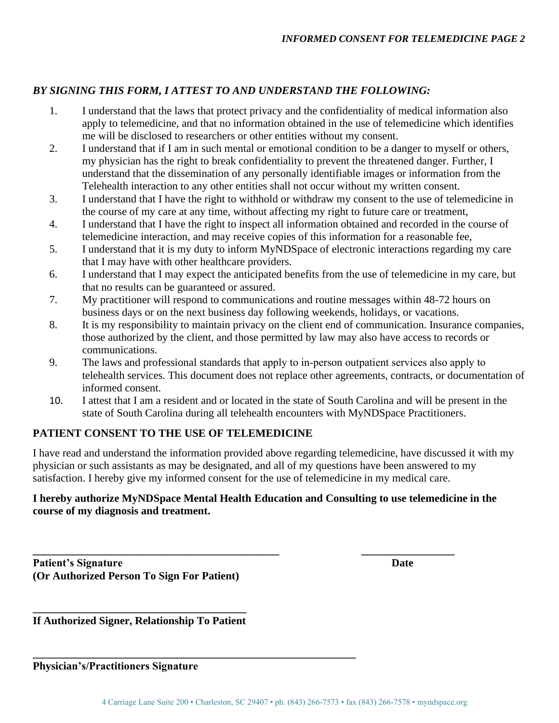# *BY SIGNING THIS FORM, I ATTEST TO AND UNDERSTAND THE FOLLOWING:*

- 1. I understand that the laws that protect privacy and the confidentiality of medical information also apply to telemedicine, and that no information obtained in the use of telemedicine which identifies me will be disclosed to researchers or other entities without my consent.
- 2. I understand that if I am in such mental or emotional condition to be a danger to myself or others, my physician has the right to break confidentiality to prevent the threatened danger. Further, I understand that the dissemination of any personally identifiable images or information from the Telehealth interaction to any other entities shall not occur without my written consent.
- 3. I understand that I have the right to withhold or withdraw my consent to the use of telemedicine in the course of my care at any time, without affecting my right to future care or treatment,
- 4. I understand that I have the right to inspect all information obtained and recorded in the course of telemedicine interaction, and may receive copies of this information for a reasonable fee,
- 5. I understand that it is my duty to inform MyNDSpace of electronic interactions regarding my care that I may have with other healthcare providers.
- 6. I understand that I may expect the anticipated benefits from the use of telemedicine in my care, but that no results can be guaranteed or assured.
- 7. My practitioner will respond to communications and routine messages within 48-72 hours on business days or on the next business day following weekends, holidays, or vacations.
- 8. It is my responsibility to maintain privacy on the client end of communication. Insurance companies, those authorized by the client, and those permitted by law may also have access to records or communications.
- 9. The laws and professional standards that apply to in‐person outpatient services also apply to telehealth services. This document does not replace other agreements, contracts, or documentation of informed consent.
- 10. I attest that I am a resident and or located in the state of South Carolina and will be present in the state of South Carolina during all telehealth encounters with MyNDSpace Practitioners.

## **PATIENT CONSENT TO THE USE OF TELEMEDICINE**

I have read and understand the information provided above regarding telemedicine, have discussed it with my physician or such assistants as may be designated, and all of my questions have been answered to my satisfaction. I hereby give my informed consent for the use of telemedicine in my medical care.

## **I hereby authorize MyNDSpace Mental Health Education and Consulting to use telemedicine in the course of my diagnosis and treatment.**

**\_\_\_\_\_\_\_\_\_\_\_\_\_\_\_\_\_\_\_\_\_\_\_\_\_\_\_\_\_\_\_\_\_\_\_\_\_\_\_\_\_\_\_\_\_ \_\_\_\_\_\_\_\_\_\_\_\_\_\_\_\_\_ Patient's Signature Date (Or Authorized Person To Sign For Patient)** 

**\_\_\_\_\_\_\_\_\_\_\_\_\_\_\_\_\_\_\_\_\_\_\_\_\_\_\_\_\_\_\_\_\_\_\_\_\_\_\_ If Authorized Signer, Relationship To Patient** 

**\_\_\_\_\_\_\_\_\_\_\_\_\_\_\_\_\_\_\_\_\_\_\_\_\_\_\_\_\_\_\_\_\_\_\_\_\_\_\_\_\_\_\_\_\_\_\_\_\_\_\_\_\_\_\_\_\_\_\_** 

**Physician's/Practitioners Signature**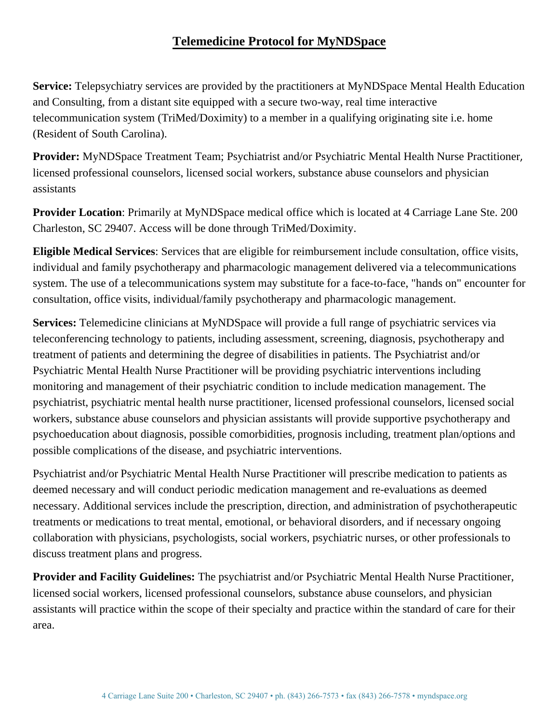# **Telemedicine Protocol for MyNDSpace**

**Service:** Telepsychiatry services are provided by the practitioners at MyNDSpace Mental Health Education and Consulting, from a distant site equipped with a secure two-way, real time interactive telecommunication system (TriMed/Doximity) to a member in a qualifying originating site i.e. home (Resident of South Carolina).

**Provider:** MyNDSpace Treatment Team; Psychiatrist and/or Psychiatric Mental Health Nurse Practitioner, licensed professional counselors, licensed social workers, substance abuse counselors and physician assistants

**Provider Location**: Primarily at MyNDSpace medical office which is located at 4 Carriage Lane Ste. 200 Charleston, SC 29407. Access will be done through TriMed/Doximity.

**Eligible Medical Services**: Services that are eligible for reimbursement include consultation, office visits, individual and family psychotherapy and pharmacologic management delivered via a telecommunications system. The use of a telecommunications system may substitute for a face-to-face, "hands on" encounter for consultation, office visits, individual/family psychotherapy and pharmacologic management.

**Services:** Telemedicine clinicians at MyNDSpace will provide a full range of psychiatric services via teleconferencing technology to patients, including assessment, screening, diagnosis, psychotherapy and treatment of patients and determining the degree of disabilities in patients. The Psychiatrist and/or Psychiatric Mental Health Nurse Practitioner will be providing psychiatric interventions including monitoring and management of their psychiatric condition to include medication management. The psychiatrist, psychiatric mental health nurse practitioner, licensed professional counselors, licensed social workers, substance abuse counselors and physician assistants will provide supportive psychotherapy and psychoeducation about diagnosis, possible comorbidities, prognosis including, treatment plan/options and possible complications of the disease, and psychiatric interventions.

Psychiatrist and/or Psychiatric Mental Health Nurse Practitioner will prescribe medication to patients as deemed necessary and will conduct periodic medication management and re-evaluations as deemed necessary. Additional services include the prescription, direction, and administration of psychotherapeutic treatments or medications to treat mental, emotional, or behavioral disorders, and if necessary ongoing collaboration with physicians, psychologists, social workers, psychiatric nurses, or other professionals to discuss treatment plans and progress.

**Provider and Facility Guidelines:** The psychiatrist and/or Psychiatric Mental Health Nurse Practitioner, licensed social workers, licensed professional counselors, substance abuse counselors, and physician assistants will practice within the scope of their specialty and practice within the standard of care for their area.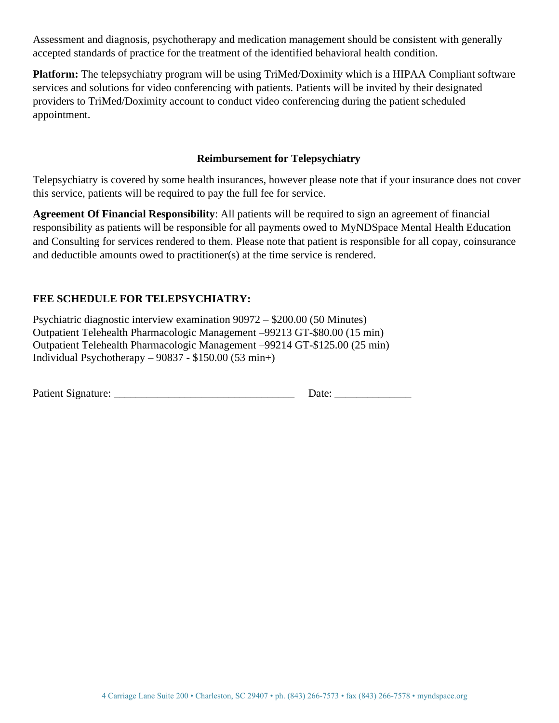Assessment and diagnosis, psychotherapy and medication management should be consistent with generally accepted standards of practice for the treatment of the identified behavioral health condition.

**Platform:** The telepsychiatry program will be using TriMed/Doximity which is a HIPAA Compliant software services and solutions for video conferencing with patients. Patients will be invited by their designated providers to TriMed/Doximity account to conduct video conferencing during the patient scheduled appointment.

### **Reimbursement for Telepsychiatry**

Telepsychiatry is covered by some health insurances, however please note that if your insurance does not cover this service, patients will be required to pay the full fee for service.

**Agreement Of Financial Responsibility**: All patients will be required to sign an agreement of financial responsibility as patients will be responsible for all payments owed to MyNDSpace Mental Health Education and Consulting for services rendered to them. Please note that patient is responsible for all copay, coinsurance and deductible amounts owed to practitioner(s) at the time service is rendered.

# **FEE SCHEDULE FOR TELEPSYCHIATRY:**

Psychiatric diagnostic interview examination 90972 – \$200.00 (50 Minutes) Outpatient Telehealth Pharmacologic Management –99213 GT-\$80.00 (15 min) Outpatient Telehealth Pharmacologic Management –99214 GT-\$125.00 (25 min) Individual Psychotherapy – 90837 - \$150.00 (53 min+)

| <b>Patient Signature:</b> |  |
|---------------------------|--|
|                           |  |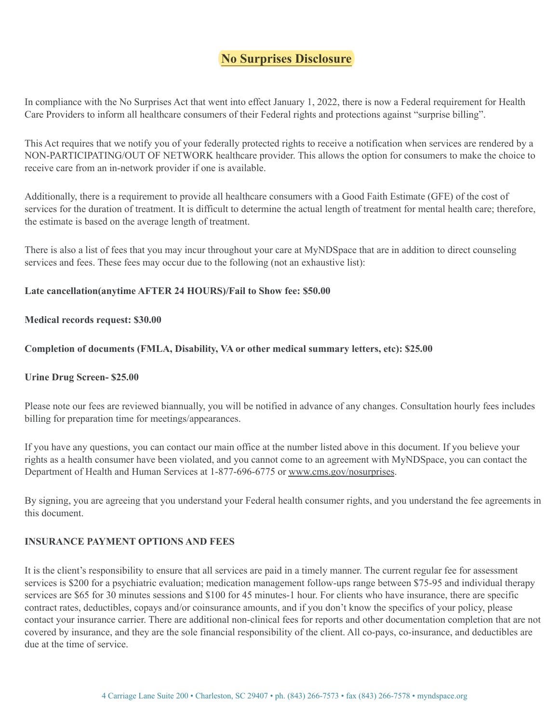# **No Surprises Disclosure**

In compliance with the No Surprises Act that went into effect January 1, 2022, there is now a Federal requirement for Health Care Providers to inform all healthcare consumers of their Federal rights and protections against "surprise billing".

This Act requires that we notify you of your federally protected rights to receive a notification when services are rendered by a NON-PARTICIPATING/OUT OF NETWORK healthcare provider. This allows the option for consumers to make the choice to receive care from an in-network provider if one is available.

Additionally, there is a requirement to provide all healthcare consumers with a Good Faith Estimate (GFE) of the cost of services for the duration of treatment. It is difficult to determine the actual length of treatment for mental health care; therefore, the estimate is based on the average length of treatment.

There is also a list of fees that you may incur throughout your care at MyNDSpace that are in addition to direct counseling services and fees. These fees may occur due to the following (not an exhaustive list):

#### **Late cancellation(anytime AFTER 24 HOURS)/Fail to Show fee: \$50.00**

#### **Medical records request: \$30.00**

#### **Completion of documents (FMLA, Disability, VA or other medical summary letters, etc): \$25.00**

#### **Urine Drug Screen- \$25.00**

Please note our fees are reviewed biannually, you will be notified in advance of any changes. Consultation hourly fees includes billing for preparation time for meetings/appearances.

If you have any questions, you can contact our main office at the number listed above in this document. If you believe your rights as a health consumer have been violated, and you cannot come to an agreement with MyNDSpace, you can contact the Department of Health and Human Services at 1-877-696-6775 or [www.cms.gov/nosurprises](http://www.cms.gov/nosurprises).

By signing, you are agreeing that you understand your Federal health consumer rights, and you understand the fee agreements in this document.

#### **INSURANCE PAYMENT OPTIONS AND FEES**

It is the client's responsibility to ensure that all services are paid in a timely manner. The current regular fee for assessment services is \$200 for a psychiatric evaluation; medication management follow-ups range between \$75-95 and individual therapy services are \$65 for 30 minutes sessions and \$100 for 45 minutes-1 hour. For clients who have insurance, there are specific contract rates, deductibles, copays and/or coinsurance amounts, and if you don't know the specifics of your policy, please contact your insurance carrier. There are additional non-clinical fees for reports and other documentation completion that are not covered by insurance, and they are the sole financial responsibility of the client. All co-pays, co-insurance, and deductibles are due at the time of service.